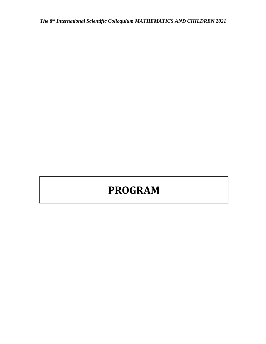# **PROGRAM**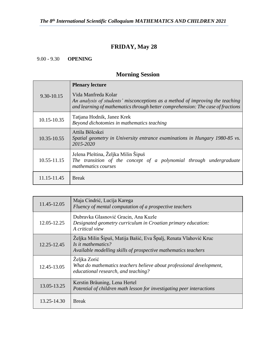# **FRIDAY, May 28**

9.00 - 9.30 **OPENING**

# **Morning Session**

| 9.30-10.15      | <b>Plenary lecture</b>                                                                                                                                                                  |
|-----------------|-----------------------------------------------------------------------------------------------------------------------------------------------------------------------------------------|
|                 | Vida Manfreda Kolar<br>An analysis of students' misconceptions as a method of improving the teaching<br>and learning of mathematics through better comprehension: The case of fractions |
| 10.15-10.35     | Tatjana Hodnik, Janez Krek<br>Beyond dichotomies in mathematics teaching                                                                                                                |
| 10.35-10.55     | Attila Bölcskei<br>Spatial geometry in University entrance examinations in Hungary 1980-85 vs.<br>2015-2020                                                                             |
| $10.55 - 11.15$ | Jelena Pleština, Željka Milin Šipuš<br>The transition of the concept of a polynomial through undergraduate<br>mathematics courses                                                       |
| 11.15-11.45     | <b>Break</b>                                                                                                                                                                            |

| 11.45-12.05 | Maja Cindrić, Lucija Karega<br>Fluency of mental computation of a prospective teachers                                                                    |
|-------------|-----------------------------------------------------------------------------------------------------------------------------------------------------------|
| 12.05-12.25 | Dubravka Glasnović Gracin, Ana Kuzle<br>Designated geometry curriculum in Croatian primary education:<br>A critical view                                  |
| 12.25-12.45 | Željka Milin Šipuš, Matija Bašić, Eva Špalj, Renata Vlahović Kruc<br>Is it mathematics?<br>Available modelling skills of prospective mathematics teachers |
| 12.45-13.05 | Željka Zorić<br>What do mathematics teachers believe about professional development,<br>educational research, and teaching?                               |
| 13.05-13.25 | Kerstin Bräuning, Lena Hertel<br>Potential of children math lesson for investigating peer interactions                                                    |
| 13.25-14.30 | <b>Break</b>                                                                                                                                              |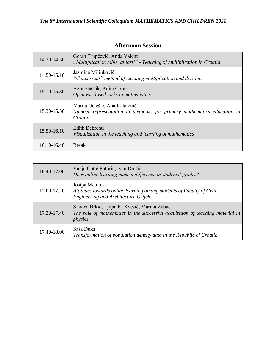| 14.30-14.50 | Goran Trupčević, Anđa Valent<br>"Multiplication table, at last!" - Teaching of multiplication in Croatia            |
|-------------|---------------------------------------------------------------------------------------------------------------------|
| 14.50-15.10 | Jasmina Milinković<br>"Concurrent" method of teaching multiplication and division                                   |
| 15.10-15.30 | Azra Staščik, Anita Čorak<br>Open vs. closed tasks in mathematics                                                   |
| 15.30-15.50 | Marija Gelešić, Ana Katalenić<br>Number representation in textbooks for primary mathematics education in<br>Croatia |
| 15.50-16.10 | <b>Edith Debrenti</b><br>Visualization in the teaching and learning of mathematics                                  |
| 16.10-16.40 | <b>Break</b>                                                                                                        |

#### **Afternoon Session**

| 16.40-17.00 | Vanja Čotić Poturić, Ivan Dražić<br>Does online learning make a difference in students' grades?                                           |
|-------------|-------------------------------------------------------------------------------------------------------------------------------------------|
| 17.00-17.20 | Josipa Matotek<br>Attitudes towards online learning among students of Faculty of Civil<br>Engineering and Architecture Osijek             |
| 17.20-17.40 | Slavica Brkić, Ljiljanka Kvesić, Marina Zubac<br>The role of mathematics in the successful acquisition of teaching material in<br>physics |
| 17.40-18.00 | Saša Duka<br>Transformation of population density data in the Republic of Croatia                                                         |